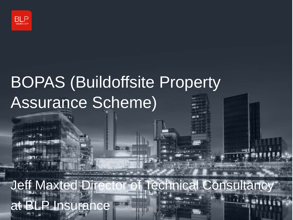

# BOPAS (Buildoffsite Property Assurance Scheme)

Jeff Maxted Director of Technical Consultancy at BLP Insurance Maxted<sup>L</sup>BOPAS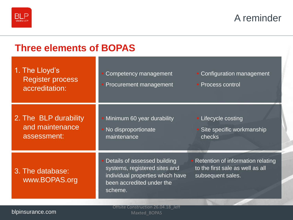

A reminder

| <b>Three elements of BOPAS</b>                              |                                                                                                                                           |                                                                                            |  |  |  |  |
|-------------------------------------------------------------|-------------------------------------------------------------------------------------------------------------------------------------------|--------------------------------------------------------------------------------------------|--|--|--|--|
| 1. The Lloyd's<br><b>Register process</b><br>accreditation: | Competency management<br>Procurement management                                                                                           | • Configuration management<br>• Process control                                            |  |  |  |  |
| 2. The BLP durability<br>and maintenance<br>assessment:     | Minimum 60 year durability<br>No disproportionate<br>maintenance                                                                          | • Lifecycle costing<br>Site specific workmanship<br>checks                                 |  |  |  |  |
| 3. The database:<br>www.BOPAS.org                           | Details of assessed building<br>systems, registered sites and<br>individual properties which have<br>been accredited under the<br>scheme. | Retention of information relating<br>to the first sale as well as all<br>subsequent sales. |  |  |  |  |
|                                                             |                                                                                                                                           |                                                                                            |  |  |  |  |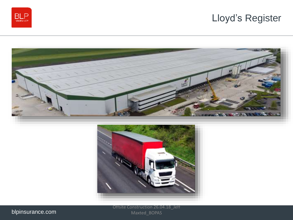







Offsite Construction 26.04.18\_Jeff Maxted\_BOPAS

blpinsurance.com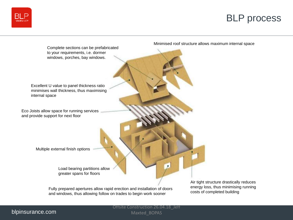## BLP process





Minimised roof structure allows maximum internal space

and windows, thus allowing follow on trades to begin work sooner

Air tight structure drastically reduces energy loss, thus minimising running costs of completed building

#### blpinsurance.com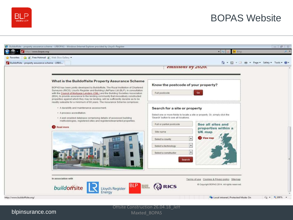

blpinsurance.com

## BOPAS Website

| Favorites                                       | <b>B</b> P Free Hotmail <b>B</b> Web Slice Gallery                                                                                                                                                                                                                                                                                                                                                                                                                                                                                                                                  |                                                                                                                                                                                                                                                                                                                                                                                                                                    |                              |
|-------------------------------------------------|-------------------------------------------------------------------------------------------------------------------------------------------------------------------------------------------------------------------------------------------------------------------------------------------------------------------------------------------------------------------------------------------------------------------------------------------------------------------------------------------------------------------------------------------------------------------------------------|------------------------------------------------------------------------------------------------------------------------------------------------------------------------------------------------------------------------------------------------------------------------------------------------------------------------------------------------------------------------------------------------------------------------------------|------------------------------|
| Buildoffsite - property assurance scheme - LRBO |                                                                                                                                                                                                                                                                                                                                                                                                                                                                                                                                                                                     | ☆ ▼ 同 ▼ 日 神<br>emissions by 2020.                                                                                                                                                                                                                                                                                                                                                                                                  | ▼ Page ▼ Safety ▼ Tools ▼ Wa |
|                                                 | What is the Buildoffsite Property Assurance Scheme<br>BOPAS has been jointly developed by Buildoffsite, The Royal Institution of Chartered<br>Surveyors (RICS), Lloyd's Register and Building LifePlans Ltd (BLP), in consultation<br>with the Council of Mortgage Lenders (CML) and the Building Societies Association<br>(BSA), to provide assurance to the lending community that innovatively constructed<br>properties against which they may be lending, will be sufficiently durable as to be<br>readily saleable for a minimum of 60 years. The Assurance Scheme comprises: | Know the postcode of your property?<br>Go<br>Full postcode                                                                                                                                                                                                                                                                                                                                                                         |                              |
|                                                 | · A durability and maintenance assessment.<br>• A process accreditation.<br>· A web enabled database comprising details of assessed building<br>methodologies, registered sites and registered/warranted properties.<br>Read more                                                                                                                                                                                                                                                                                                                                                   | Search for a site or property<br>Select one or more fields to locate a site or property. Or, simply click the<br>'Search' button to see all locations.<br>See all sites and<br>Full or partial postcode<br>properties within a<br>UK map<br>Site name<br><b>CD</b> View may<br>$\overline{\phantom{a}}$<br>Select a county<br>$\overline{\phantom{a}}$<br>Select a technology<br>$\star$<br>Select a constructor.<br><b>Search</b> |                              |
|                                                 | In association with<br><b>BLP</b><br>BULDING<br>buildoffsite<br>Lloyd's Register<br>Energy                                                                                                                                                                                                                                                                                                                                                                                                                                                                                          | Terms of use Cookies & Privacy policy Sitemap<br>Copyright BOPAS 2014. All rights reserved.<br><b>GO RICS</b>                                                                                                                                                                                                                                                                                                                      |                              |

#### Offsite Construction 26.04.18\_Jeff

Maxted\_BOPAS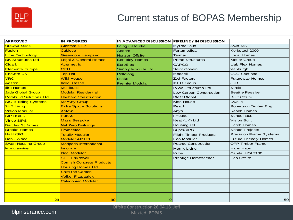

## Current status of BOPAS Membership

| <b>APPROVED</b>                | <b>IN PROGRESS</b>               | IN ADVANCED DISCUSSION PIPELINE / IN DISCUSSION |                                |                                |
|--------------------------------|----------------------------------|-------------------------------------------------|--------------------------------|--------------------------------|
| <b>Stewart Milne</b>           | <b>Glosford SIPs</b>             | Laing O'Rourke                                  | <b>MyPadHaus</b>               | Swift MS                       |
| <b>Fusion</b>                  | <b>Cubicco</b>                   | Aecom                                           | Fortamedical                   | Kerkstoel 2000                 |
| <b>Lime Technology</b>         | <b>Greencore Hempsec</b>         | <b>Horizon Offsite</b>                          | Tarmac                         | <b>Local Homes</b>             |
| <b>BK Structures Ltd</b>       | <b>Legal &amp; General Homes</b> | <b>Berkeley Homes</b>                           | <b>Prime Structures</b>        | <b>Metier Group</b>            |
| <b>Cidark</b>                  | <b>Acermetric</b>                | EuroSips                                        | <b>CAPCO</b>                   | <b>Liab Flex Homes</b>         |
| <b>Elements Europe</b>         | <b>CITU</b>                      | <b>Simply Modular Ltd</b>                       | Saint Gobain                   | Vanburgh                       |
| <b>Enevate UK</b>              | <b>Top Hat</b>                   | Rollalong                                       | Modcell                        | <b>CCG Scotland</b>            |
| <b>VRC</b>                     | <b>Wiki House</b>                | Lesko                                           | Zed Factory                    | <b>Futureway Homes</b>         |
| Adston                         | <b>Xella Casco</b>               | <b>Premier Modular</b>                          | <b>IKEO Group</b>              | <b>JUB</b>                     |
| <b>Ilke Homes</b>              | <b>Multibuild</b>                |                                                 | <b>PAW Structures Ltd</b>      | <b>Streiff</b>                 |
| <b>Jade Global Group</b>       | <b>Modular Residential</b>       |                                                 | <b>Low Carbon Construction</b> | <b>Beattie Passive</b>         |
| <b>Parabuild Solutions Ltd</b> | <b>Hadham Construction</b>       |                                                 | <b>DMC Global</b>              | <b>Built Offsite</b>           |
| <b>SIG Building Systems</b>    | <b>McAvoy Group</b>              |                                                 | <b>Kiss House</b>              | <b>Dwelle</b>                  |
| 24.7 Living                    | <b>Extra Space Solutions</b>     |                                                 | Reach                          | Robertson Timber Eng           |
| <b>Vision Modular</b>          | Actavo                           |                                                 | Anyo                           | <b>Reach Homes</b>             |
| <b>SIP BUILD</b>               | Purever                          |                                                 | nHouse                         | Schoolhaus                     |
| <b>Vinco SIPS</b>              | <b>Mass Bespoke</b>              |                                                 | Neat (UK) Ltd                  | <b>Vision Built</b>            |
| <b>Barclay St James</b>        | <b>Net Zero Buildings</b>        |                                                 | <b>Housing UK</b>              | <b>Hatch Homes</b>             |
| <b>Brooke Homes</b>            | Frameclad                        |                                                 | <b>SuperSIPS</b>               | <b>Space Projects</b>          |
| $H+H/SIG$                      | <b>Totally Modular</b>           |                                                 | <b>Flight Timber Products</b>  | <b>Precision Frame Systems</b> |
| Dan - Wood                     | <b>Modular AR Ltd</b>            |                                                 | Eco Modular                    | <b>Future Friendly Homes</b>   |
| <b>Swan Housing Group</b>      | <b>Modpods International</b>     |                                                 | <b>Pearce Construction</b>     | <b>OFP Timber Frame</b>        |
| <b>Modularwise</b>             | <b>Innovare</b>                  |                                                 | Matrix Living                  | Hans Haus                      |
|                                | <b>Ideal Modular</b>             |                                                 | Kube                           | Capital HOLZ100                |
|                                | <b>SPS Envirowall</b>            |                                                 | Prestige Homeseeker            | <b>Eco Offsite</b>             |
|                                | <b>Cornish Concrete Products</b> |                                                 |                                |                                |
|                                | <b>Housing Homes Ltd</b>         |                                                 |                                |                                |
|                                | <b>Save the Carbon</b>           |                                                 |                                |                                |
|                                | <b>Volker Fitzpatrick</b>        |                                                 |                                |                                |
|                                | Caledonian Modular               |                                                 |                                |                                |
|                                |                                  |                                                 |                                |                                |
|                                |                                  |                                                 |                                |                                |
|                                |                                  |                                                 |                                |                                |
| 23                             | 30                               | $\overline{9}$                                  |                                | <b>50</b>                      |

blpinsurance.com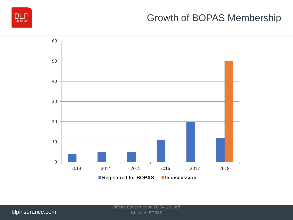

## Growth of BOPAS Membership

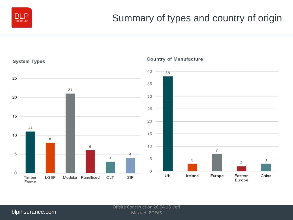



#### **Country of Manufacture**

#### blpinsurance.com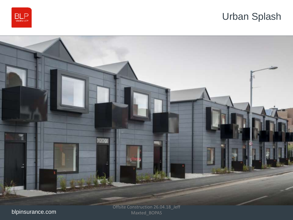

## Urban Splash



blpinsurance.com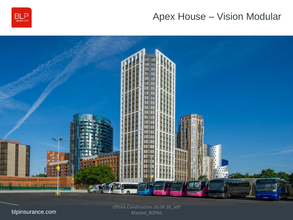

## Apex House – Vision Modular



blpinsurance.com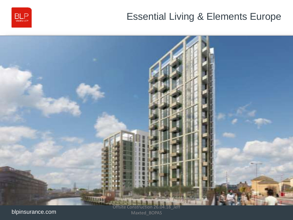

## Essential Living & Elements Europe



blpinsurance.com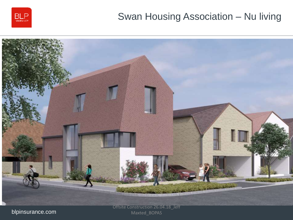

## Swan Housing Association – Nu living



blpinsurance.com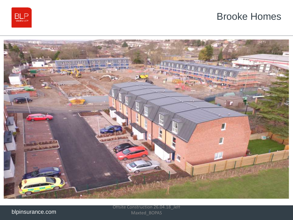

### Brooke Homes



blpinsurance.com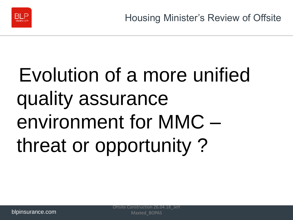

# Evolution of a more unified quality assurance environment for MMC – threat or opportunity ?